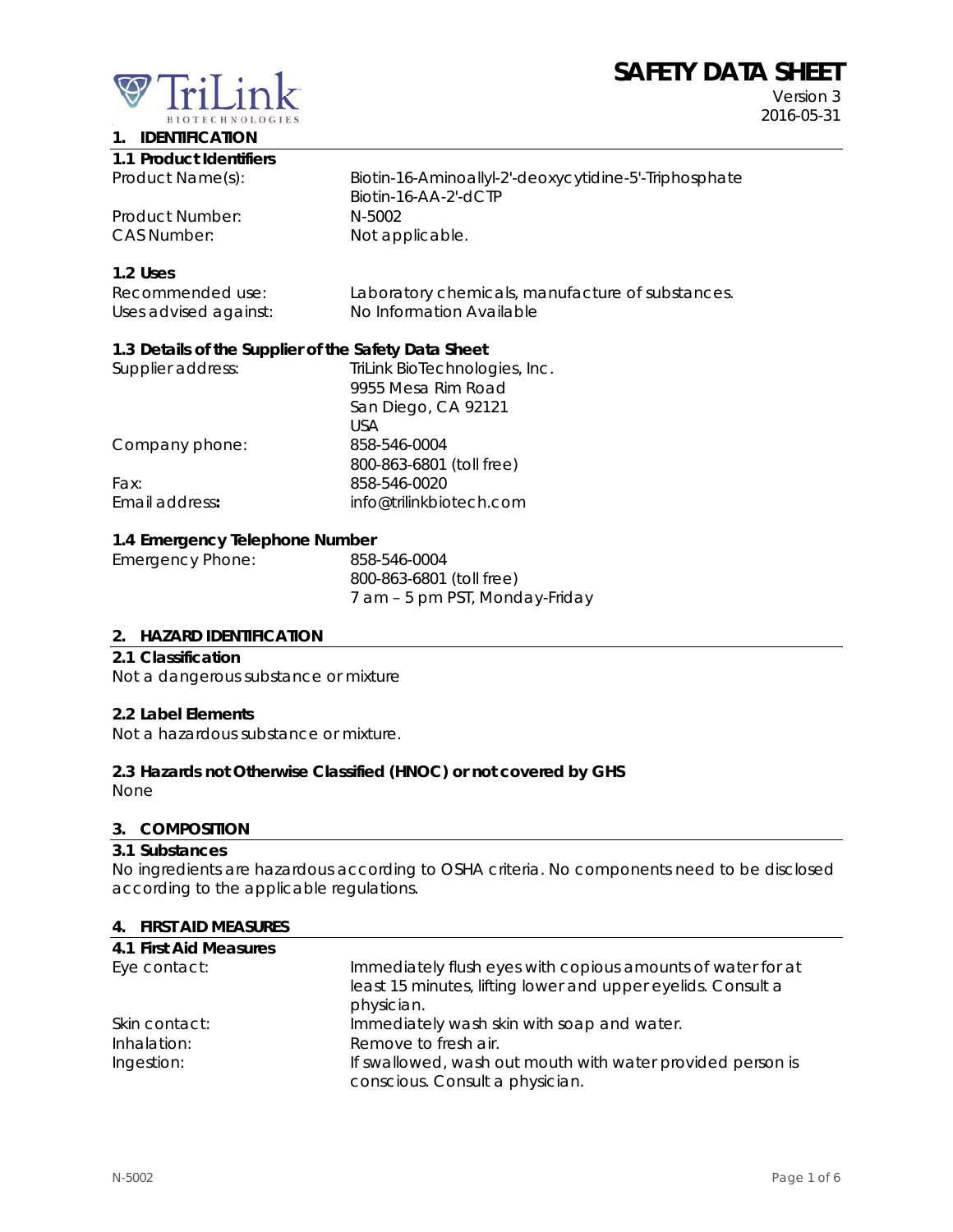# **SAFETY DATA SHEET**



Version 3 2016-05-31

# **1. IDENTIFICATION**

| 1.1 Product Identifiers |                                                                               |
|-------------------------|-------------------------------------------------------------------------------|
| Product Name(s):        | Biotin-16-Aminoallyl-2'-deoxycytidine-5'-Triphosphate<br>Biotin-16-AA-2'-dCTP |
| Product Number:         | N-5002                                                                        |
| CAS Number:             | Not applicable.                                                               |

## **1.2 Uses**

| Recommended use:      | Laboratory chemicals, manufacture of substances. |
|-----------------------|--------------------------------------------------|
| Uses advised against: | No Information Available                         |

## **1.3 Details of the Supplier of the Safety Data Sheet**

| Supplier address: | TriLink BioTechnologies, Inc. |
|-------------------|-------------------------------|
|                   | 9955 Mesa Rim Road            |
|                   | San Diego, CA 92121           |
|                   | USA                           |
| Company phone:    | 858-546-0004                  |
|                   | 800-863-6801 (toll free)      |
| Fax:              | 858-546-0020                  |
| Email address:    | info@trilinkbiotech.com       |
|                   |                               |

## **1.4 Emergency Telephone Number**

| Emergency Phone: | 858-546-0004                   |
|------------------|--------------------------------|
|                  | 800-863-6801 (toll free)       |
|                  | 7 am - 5 pm PST, Monday-Friday |

## **2. HAZARD IDENTIFICATION**

#### **2.1 Classification**

Not a dangerous substance or mixture

#### **2.2 Label Elements**

Not a hazardous substance or mixture.

## **2.3 Hazards not Otherwise Classified (HNOC) or not covered by GHS**

None

#### **3. COMPOSITION**

#### **3.1 Substances**

No ingredients are hazardous according to OSHA criteria. No components need to be disclosed according to the applicable regulations.

#### **4. FIRST AID MEASURES**

| 4.1 First Aid Measures |                                                              |
|------------------------|--------------------------------------------------------------|
| Eye contact:           | Immediately flush eyes with copious amounts of water for at  |
|                        | least 15 minutes, lifting lower and upper eyelids. Consult a |
|                        | physician.                                                   |
| Skin contact:          | Immediately wash skin with soap and water.                   |
| Inhalation:            | Remove to fresh air.                                         |
| Ingestion:             | If swallowed, wash out mouth with water provided person is   |
|                        | conscious. Consult a physician.                              |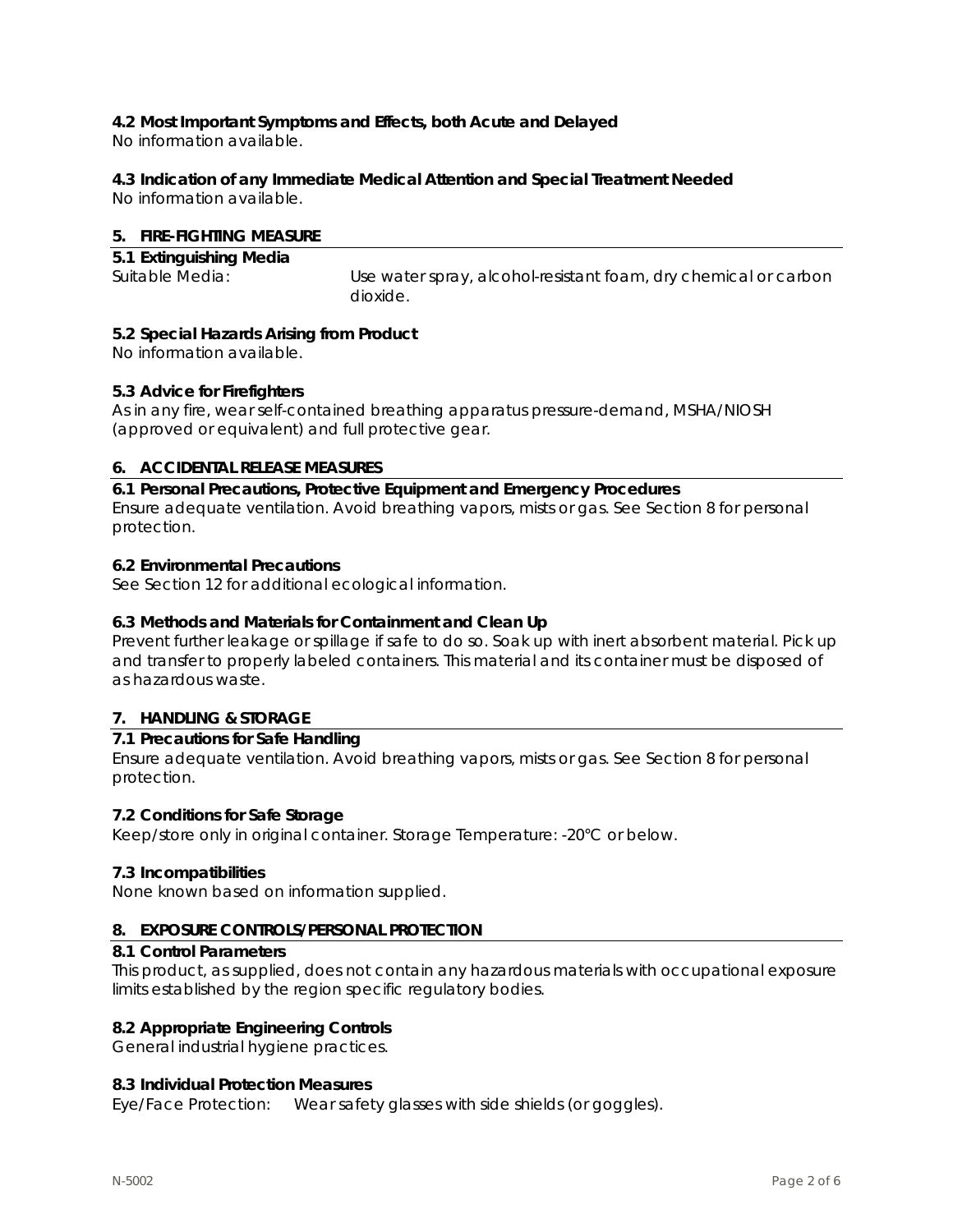# **4.2 Most Important Symptoms and Effects, both Acute and Delayed**

No information available.

# **4.3 Indication of any Immediate Medical Attention and Special Treatment Needed**

No information available.

## **5. FIRE-FIGHTING MEASURE**

| 5.1 Extinguishing Media |                                                                 |
|-------------------------|-----------------------------------------------------------------|
| Suitable Media:         | Use water spray, alcohol-resistant foam, dry chemical or carbon |
|                         | dioxide.                                                        |

## **5.2 Special Hazards Arising from Product**

No information available.

## **5.3 Advice for Firefighters**

As in any fire, wear self-contained breathing apparatus pressure-demand, MSHA/NIOSH (approved or equivalent) and full protective gear.

# **6. ACCIDENTAL RELEASE MEASURES**

**6.1 Personal Precautions, Protective Equipment and Emergency Procedures**  Ensure adequate ventilation. Avoid breathing vapors, mists or gas. See Section 8 for personal protection.

## **6.2 Environmental Precautions**

See Section 12 for additional ecological information.

# **6.3 Methods and Materials for Containment and Clean Up**

Prevent further leakage or spillage if safe to do so. Soak up with inert absorbent material. Pick up and transfer to properly labeled containers. This material and its container must be disposed of as hazardous waste.

# **7. HANDLING & STORAGE**

## **7.1 Precautions for Safe Handling**

Ensure adequate ventilation. Avoid breathing vapors, mists or gas. See Section 8 for personal protection.

## **7.2 Conditions for Safe Storage**

Keep/store only in original container. Storage Temperature: -20°C or below.

## **7.3 Incompatibilities**

None known based on information supplied.

## **8. EXPOSURE CONTROLS/PERSONAL PROTECTION**

#### **8.1 Control Parameters**

This product, as supplied, does not contain any hazardous materials with occupational exposure limits established by the region specific regulatory bodies.

## **8.2 Appropriate Engineering Controls**

General industrial hygiene practices.

## **8.3 Individual Protection Measures**

Eye/Face Protection: Wear safety glasses with side shields (or goggles).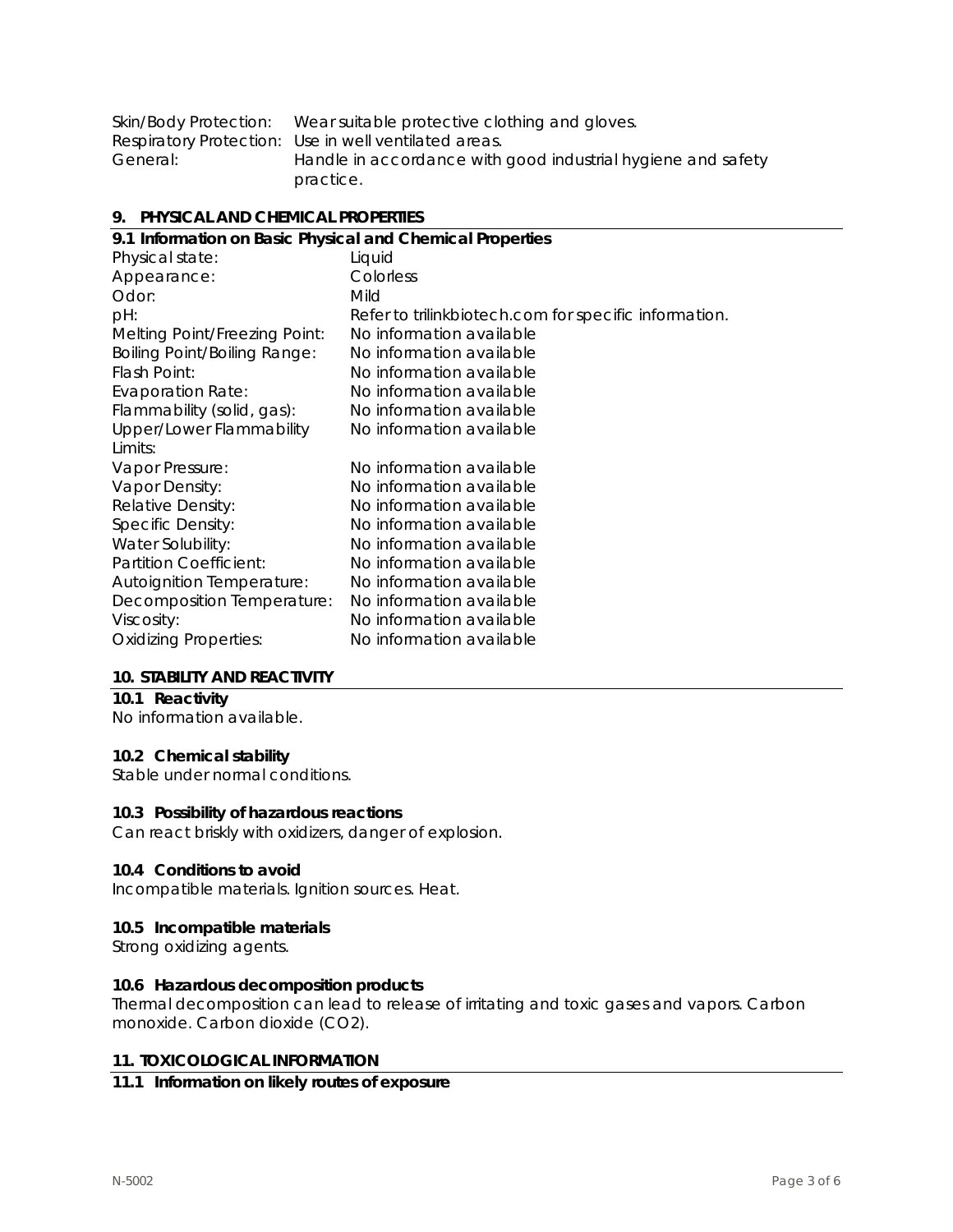| Skin/Body Protection: | Wear suitable protective clothing and gloves.                |
|-----------------------|--------------------------------------------------------------|
|                       | Respiratory Protection: Use in well ventilated areas.        |
| General:              | Handle in accordance with good industrial hygiene and safety |
|                       | practice.                                                    |

#### **9. PHYSICAL AND CHEMICAL PROPERTIES**

| 9.1 Information on Basic Physical and Chemical Properties |                                                       |  |
|-----------------------------------------------------------|-------------------------------------------------------|--|
| Physical state:                                           | Liquid                                                |  |
| Appearance:                                               | Colorless                                             |  |
| Odor:                                                     | Mild                                                  |  |
| pH:                                                       | Refer to trilinkbiotech.com for specific information. |  |
| Melting Point/Freezing Point:                             | No information available                              |  |
| <b>Boiling Point/Boiling Range:</b>                       | No information available                              |  |
| Flash Point:                                              | No information available                              |  |
| <b>Evaporation Rate:</b>                                  | No information available                              |  |
| Flammability (solid, gas):                                | No information available                              |  |
| Upper/Lower Flammability                                  | No information available                              |  |
| Limits:                                                   |                                                       |  |
| Vapor Pressure:                                           | No information available                              |  |
| Vapor Density:                                            | No information available                              |  |
| Relative Density:                                         | No information available                              |  |
| Specific Density:                                         | No information available                              |  |
| Water Solubility:                                         | No information available                              |  |
| Partition Coefficient:                                    | No information available                              |  |
| <b>Autoignition Temperature:</b>                          | No information available                              |  |
| Decomposition Temperature:                                | No information available                              |  |
| Viscosity:                                                | No information available                              |  |
| <b>Oxidizing Properties:</b>                              | No information available                              |  |
|                                                           |                                                       |  |

#### **10. STABILITY AND REACTIVITY**

# **10.1 Reactivity**

No information available.

# **10.2 Chemical stability**

Stable under normal conditions.

#### **10.3 Possibility of hazardous reactions**

Can react briskly with oxidizers, danger of explosion.

#### **10.4 Conditions to avoid**

Incompatible materials. Ignition sources. Heat.

#### **10.5 Incompatible materials**

Strong oxidizing agents.

#### **10.6 Hazardous decomposition products**

Thermal decomposition can lead to release of irritating and toxic gases and vapors. Carbon monoxide. Carbon dioxide (CO2).

#### **11. TOXICOLOGICAL INFORMATION**

## **11.1 Information on likely routes of exposure**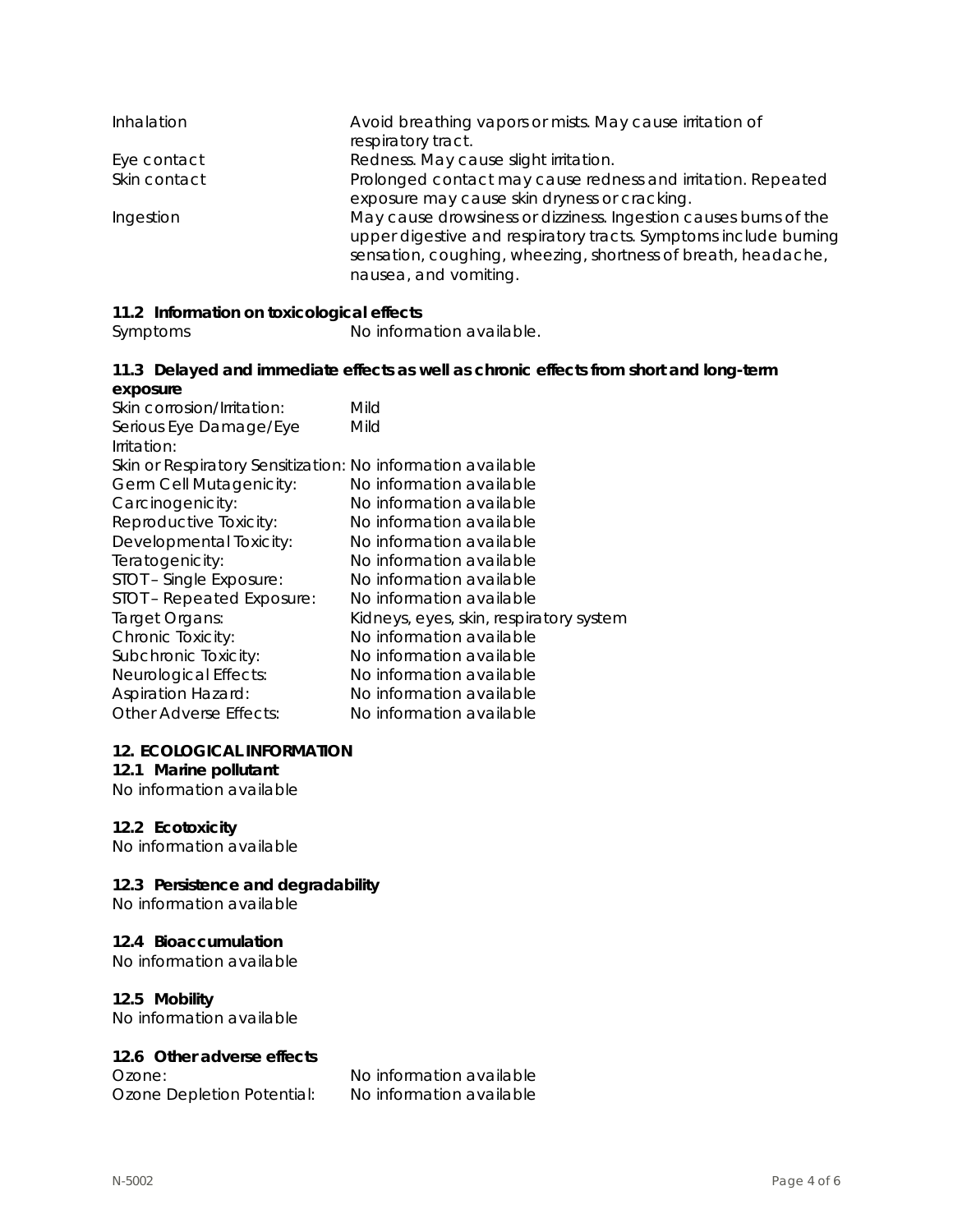| Inhalation   | Avoid breathing vapors or mists. May cause irritation of<br>respiratory tract.                                                                                                                                                 |
|--------------|--------------------------------------------------------------------------------------------------------------------------------------------------------------------------------------------------------------------------------|
| Eye contact  | Redness. May cause slight irritation.                                                                                                                                                                                          |
| Skin contact | Prolonged contact may cause redness and irritation. Repeated<br>exposure may cause skin dryness or cracking.                                                                                                                   |
| Ingestion    | May cause drowsiness or dizziness. Ingestion causes burns of the<br>upper digestive and respiratory tracts. Symptoms include burning<br>sensation, coughing, wheezing, shortness of breath, headache,<br>nausea, and vomiting. |

# **11.2 Information on toxicological effects**

Symptoms No information available.

#### **11.3 Delayed and immediate effects as well as chronic effects from short and long-term exposure**

| Skin corrosion/Irritation:                                  | Mild                                    |
|-------------------------------------------------------------|-----------------------------------------|
| Serious Eye Damage/Eye                                      | Mild                                    |
| Irritation:                                                 |                                         |
| Skin or Respiratory Sensitization: No information available |                                         |
| Germ Cell Mutagenicity:                                     | No information available                |
| Carcinogenicity:                                            | No information available                |
| Reproductive Toxicity:                                      | No information available                |
| Developmental Toxicity:                                     | No information available                |
| Teratogenicity:                                             | No information available                |
| STOT - Single Exposure:                                     | No information available                |
| STOT - Repeated Exposure:                                   | No information available                |
| Target Organs:                                              | Kidneys, eyes, skin, respiratory system |
| Chronic Toxicity:                                           | No information available                |
| Subchronic Toxicity:                                        | No information available                |
| Neurological Effects:                                       | No information available                |
| <b>Aspiration Hazard:</b>                                   | No information available                |
| <b>Other Adverse Effects:</b>                               | No information available                |
|                                                             |                                         |

#### **12. ECOLOGICAL INFORMATION**

# **12.1 Marine pollutant**

No information available

## **12.2 Ecotoxicity**

No information available

# **12.3 Persistence and degradability**

No information available

## **12.4 Bioaccumulation**

No information available

## **12.5 Mobility**

No information available

## **12.6 Other adverse effects**

Ozone Depletion Potential: No information available

Ozone: No information available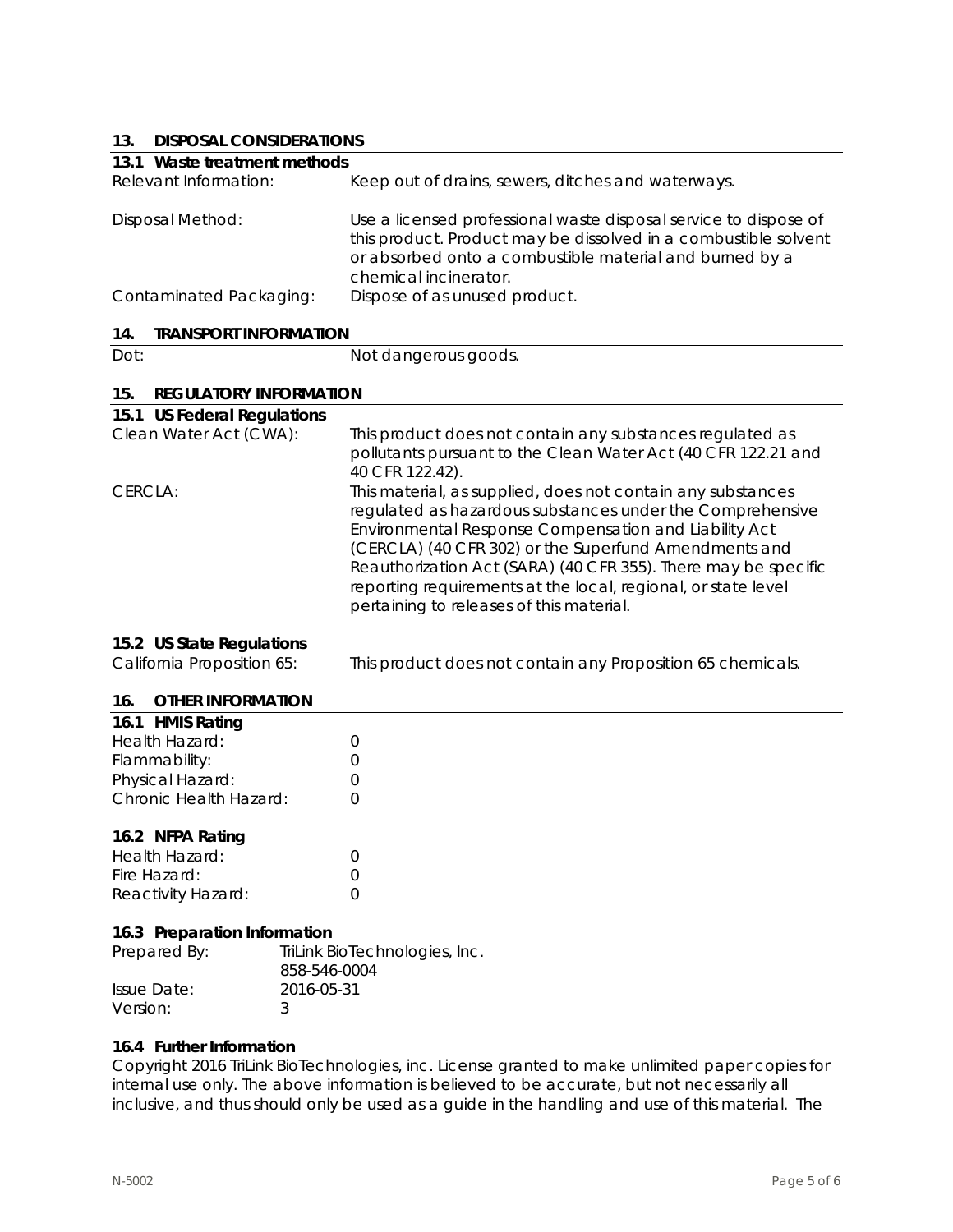# **13. DISPOSAL CONSIDERATIONS**

| 19.<br><b>DISPOSAL CONSIDERATIONS</b>                   |                                                                                                                                                                                                                                                                                                                                                                                                                           |
|---------------------------------------------------------|---------------------------------------------------------------------------------------------------------------------------------------------------------------------------------------------------------------------------------------------------------------------------------------------------------------------------------------------------------------------------------------------------------------------------|
| 13.1 Waste treatment methods                            |                                                                                                                                                                                                                                                                                                                                                                                                                           |
| Relevant Information:                                   | Keep out of drains, sewers, ditches and waterways.                                                                                                                                                                                                                                                                                                                                                                        |
| <b>Disposal Method:</b>                                 | Use a licensed professional waste disposal service to dispose of<br>this product. Product may be dissolved in a combustible solvent<br>or absorbed onto a combustible material and burned by a<br>chemical incinerator.                                                                                                                                                                                                   |
| Contaminated Packaging:                                 | Dispose of as unused product.                                                                                                                                                                                                                                                                                                                                                                                             |
| 14.<br><b>TRANSPORT INFORMATION</b>                     |                                                                                                                                                                                                                                                                                                                                                                                                                           |
| Dot:                                                    | Not dangerous goods.                                                                                                                                                                                                                                                                                                                                                                                                      |
| 15.<br><b>REGULATORY INFORMATION</b>                    |                                                                                                                                                                                                                                                                                                                                                                                                                           |
| 15.1 US Federal Regulations                             |                                                                                                                                                                                                                                                                                                                                                                                                                           |
| Clean Water Act (CWA):                                  | This product does not contain any substances regulated as<br>pollutants pursuant to the Clean Water Act (40 CFR 122.21 and<br>40 CFR 122.42).                                                                                                                                                                                                                                                                             |
| CERCLA:                                                 | This material, as supplied, does not contain any substances<br>regulated as hazardous substances under the Comprehensive<br>Environmental Response Compensation and Liability Act<br>(CERCLA) (40 CFR 302) or the Superfund Amendments and<br>Reauthorization Act (SARA) (40 CFR 355). There may be specific<br>reporting requirements at the local, regional, or state level<br>pertaining to releases of this material. |
| 15.2 US State Regulations<br>California Proposition 65: | This product does not contain any Proposition 65 chemicals.                                                                                                                                                                                                                                                                                                                                                               |
| <b>OTHER INFORMATION</b><br>16.                         |                                                                                                                                                                                                                                                                                                                                                                                                                           |
| $47.4$ URAIC D <sub>2</sub> 1.                          |                                                                                                                                                                                                                                                                                                                                                                                                                           |

| 16.1 HMIS Rating       |                  |
|------------------------|------------------|
| Health Hazard:         | $\left( \right)$ |
| Flammability:          | $\left( \right)$ |
| Physical Hazard:       | $\left( \right)$ |
| Chronic Health Hazard: | $\left( \right)$ |
|                        |                  |

## **16.2 NFPA Rating**

| Health Hazard:     |  |
|--------------------|--|
| Fire Hazard:       |  |
| Reactivity Hazard: |  |

#### **16.3 Preparation Information**

| Prepared By: | TriLink BioTechnologies, Inc.<br>858-546-0004 |
|--------------|-----------------------------------------------|
| Issue Date:  | 2016-05-31                                    |
| Version:     |                                               |

## **16.4 Further Information**

Copyright 2016 TriLink BioTechnologies, inc. License granted to make unlimited paper copies for internal use only. The above information is believed to be accurate, but not necessarily all inclusive, and thus should only be used as a guide in the handling and use of this material. The